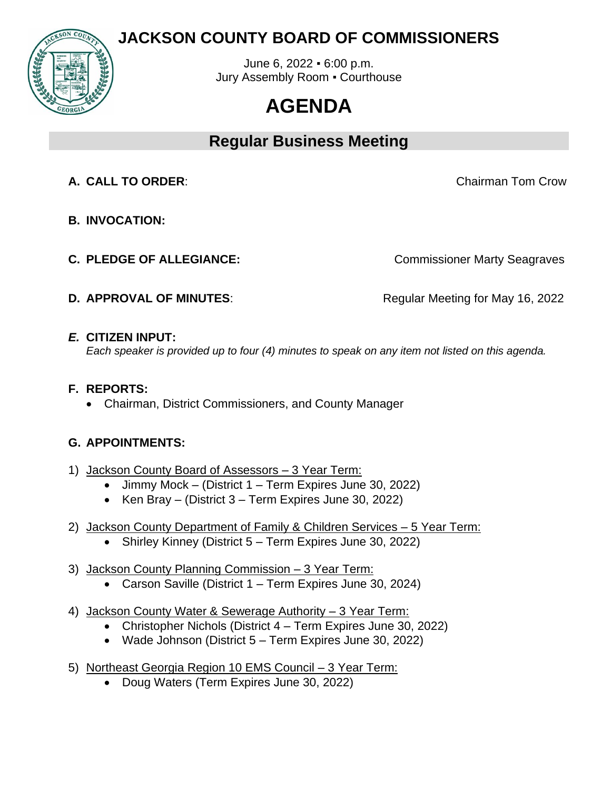

# **JACKSON COUNTY BOARD OF COMMISSIONERS**

June 6, 2022 ▪ 6:00 p.m. Jury Assembly Room ▪ Courthouse

# **AGENDA**

# **Regular Business Meeting**

**A. CALL TO ORDER**: Chairman Tom Crow

- **B. INVOCATION:**
- 

**C. PLEDGE OF ALLEGIANCE:** Commissioner Marty Seagraves

**D. APPROVAL OF MINUTES:** Regular Meeting for May 16, 2022

## *E.* **CITIZEN INPUT:**

*Each speaker is provided up to four (4) minutes to speak on any item not listed on this agenda.* 

## **F. REPORTS:**

• Chairman, District Commissioners, and County Manager

## **G. APPOINTMENTS:**

- 1) Jackson County Board of Assessors 3 Year Term:
	- Jimmy Mock (District 1 Term Expires June 30, 2022)
	- Ken Bray (District 3 Term Expires June 30, 2022)
- 2) Jackson County Department of Family & Children Services 5 Year Term:
	- Shirley Kinney (District 5 Term Expires June 30, 2022)
- 3) Jackson County Planning Commission 3 Year Term: • Carson Saville (District 1 – Term Expires June 30, 2024)
- 4) Jackson County Water & Sewerage Authority 3 Year Term:
	- Christopher Nichols (District 4 Term Expires June 30, 2022)
	- Wade Johnson (District 5 Term Expires June 30, 2022)
- 5) Northeast Georgia Region 10 EMS Council 3 Year Term:
	- Doug Waters (Term Expires June 30, 2022)